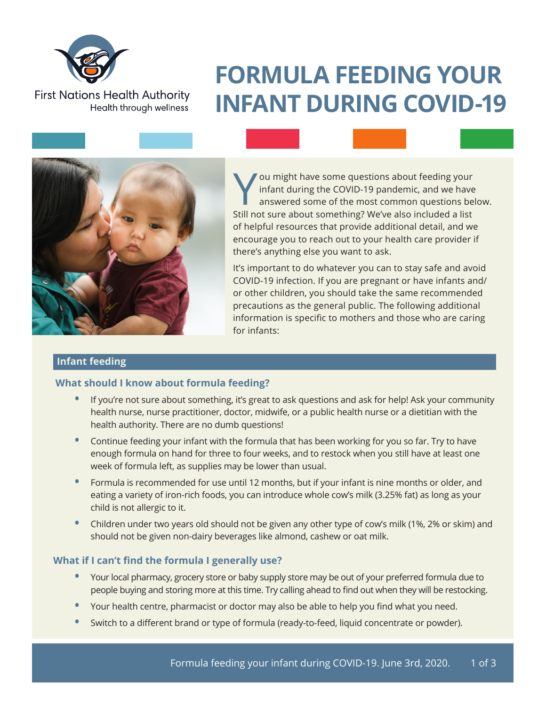

# **FORMULA FEEDING YOUR First Nations Health Authority INFANT DURING COVID-19** Health through wellness



ou might have some questions about feeding your infant during the COVID-19 pandemic, and we have answered some of the most common questions below. Still not sure about something? We've also included a list of helpful resources that provide additional detail, and we encourage you to reach out to your health care provider if there's anything else you want to ask.

It's important to do whatever you can to stay safe and avoid COVID-19 infection. If you are pregnant or have infants and/ or other children, you should take the same recommended precautions as the general public. The following additional information is specific to mothers and those who are caring for infants:

# **Infant feeding**

# **What should I know about formula feeding?**

- **•** If you're not sure about something, it's great to ask questions and ask for help! Ask your community health nurse, nurse practitioner, doctor, midwife, or a public health nurse or a dietitian with the health authority. There are no dumb questions!
- **•** Continue feeding your infant with the formula that has been working for you so far. Try to have enough formula on hand for three to four weeks, and to restock when you still have at least one week of formula left, as supplies may be lower than usual.
- **•** Formula is recommended for use until 12 months, but if your infant is nine months or older, and eating a variety of iron-rich foods, you can introduce whole cow's milk (3.25% fat) as long as your child is not allergic to it.
- **•** Children under two years old should not be given any other type of cow's milk (1%, 2% or skim) and should not be given non-dairy beverages like almond, cashew or oat milk.

# **What if I can't find the formula I generally use?**

- **•** Your local pharmacy, grocery store or baby supply store may be out of your preferred formula due to people buying and storing more at this time. Try calling ahead to find out when they will be restocking.
- **•** Your health centre, pharmacist or doctor may also be able to help you find what you need.
- **•** Switch to a different brand or type of formula (ready-to-feed, liquid concentrate or powder).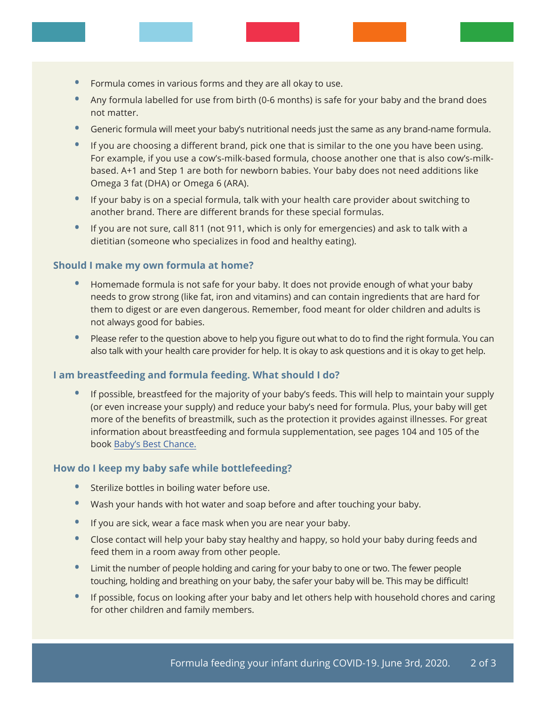- **•** Formula comes in various forms and they are all okay to use.
- **•** Any formula labelled for use from birth (0-6 months) is safe for your baby and the brand does not matter.
- **•** Generic formula will meet your baby's nutritional needs just the same as any brand-name formula.
- **•** If you are choosing a different brand, pick one that is similar to the one you have been using. For example, if you use a cow's-milk-based formula, choose another one that is also cow's-milkbased. A+1 and Step 1 are both for newborn babies. Your baby does not need additions like Omega 3 fat (DHA) or Omega 6 (ARA).
- **•** If your baby is on a special formula, talk with your health care provider about switching to another brand. There are different brands for these special formulas.
- **•** If you are not sure, call 811 (not 911, which is only for emergencies) and ask to talk with a dietitian (someone who specializes in food and healthy eating).

## **Should I make my own formula at home?**

- **•** Homemade formula is not safe for your baby. It does not provide enough of what your baby needs to grow strong (like fat, iron and vitamins) and can contain ingredients that are hard for them to digest or are even dangerous. Remember, food meant for older children and adults is not always good for babies.
- **•** Please refer to the question above to help you figure out what to do to find the right formula. You can also talk with your health care provider for help. It is okay to ask questions and it is okay to get help.

## **I am breastfeeding and formula feeding. What should I do?**

**•** If possible, breastfeed for the majority of your baby's feeds. This will help to maintain your supply (or even increase your supply) and reduce your baby's need for formula. Plus, your baby will get more of the benefits of breastmilk, such as the protection it provides against illnesses. For great information about breastfeeding and formula supplementation, see pages 104 and 105 of the book [Baby's Best Chance.](https://www.health.gov.bc.ca/library/publications/year/2019/BBC-7th-edition-FINAL-Nov2019.pdf)

## **How do I keep my baby safe while bottlefeeding?**

- **•** Sterilize bottles in boiling water before use.
- **•** Wash your hands with hot water and soap before and after touching your baby.
- **•** If you are sick, wear a face mask when you are near your baby.
- **•** Close contact will help your baby stay healthy and happy, so hold your baby during feeds and feed them in a room away from other people.
- **•** Limit the number of people holding and caring for your baby to one or two. The fewer people touching, holding and breathing on your baby, the safer your baby will be. This may be difficult!
- **•** If possible, focus on looking after your baby and let others help with household chores and caring for other children and family members.